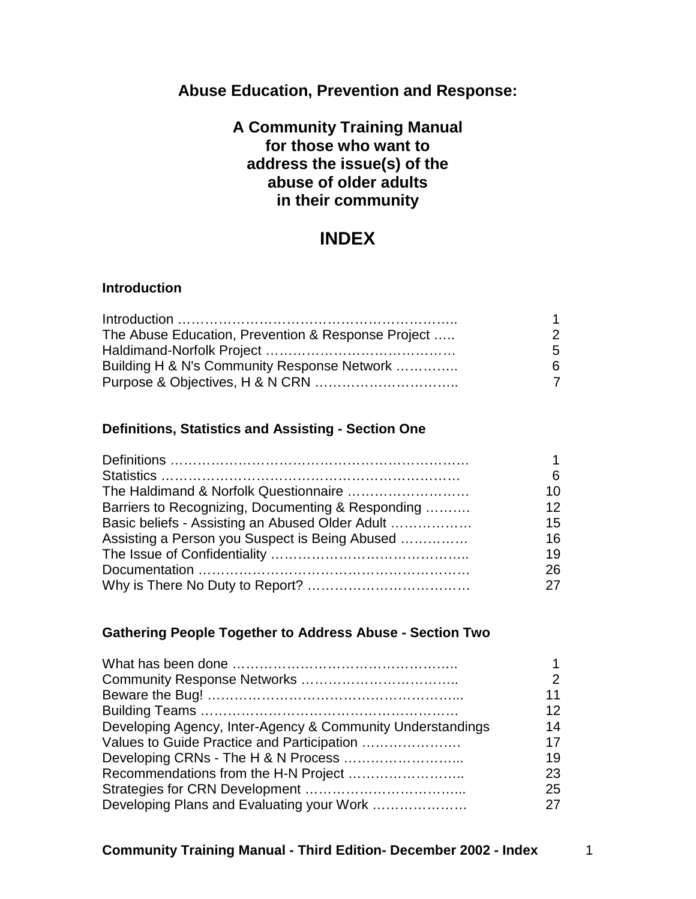# **Abuse Education, Prevention and Response:**

## **A Community Training Manual for those who want to address the issue(s) of the abuse of older adults in their community**

# **INDEX**

#### **Introduction**

| The Abuse Education, Prevention & Response Project | 2.             |
|----------------------------------------------------|----------------|
|                                                    | 5.             |
| Building H & N's Community Response Network        | 6.             |
|                                                    | $\overline{7}$ |

#### **Definitions, Statistics and Assisting - Section One**

|                                                   | 6  |
|---------------------------------------------------|----|
|                                                   | 10 |
| Barriers to Recognizing, Documenting & Responding | 12 |
| Basic beliefs - Assisting an Abused Older Adult   | 15 |
| Assisting a Person you Suspect is Being Abused    | 16 |
|                                                   | 19 |
|                                                   | 26 |
|                                                   |    |

## **Gathering People Together to Address Abuse - Section Two**

|                                                            | $\mathcal{P}$ |
|------------------------------------------------------------|---------------|
|                                                            | 11            |
|                                                            | 12            |
| Developing Agency, Inter-Agency & Community Understandings | 14            |
| Values to Guide Practice and Participation                 | 17            |
|                                                            | 19            |
|                                                            | 23            |
|                                                            | 25            |
|                                                            |               |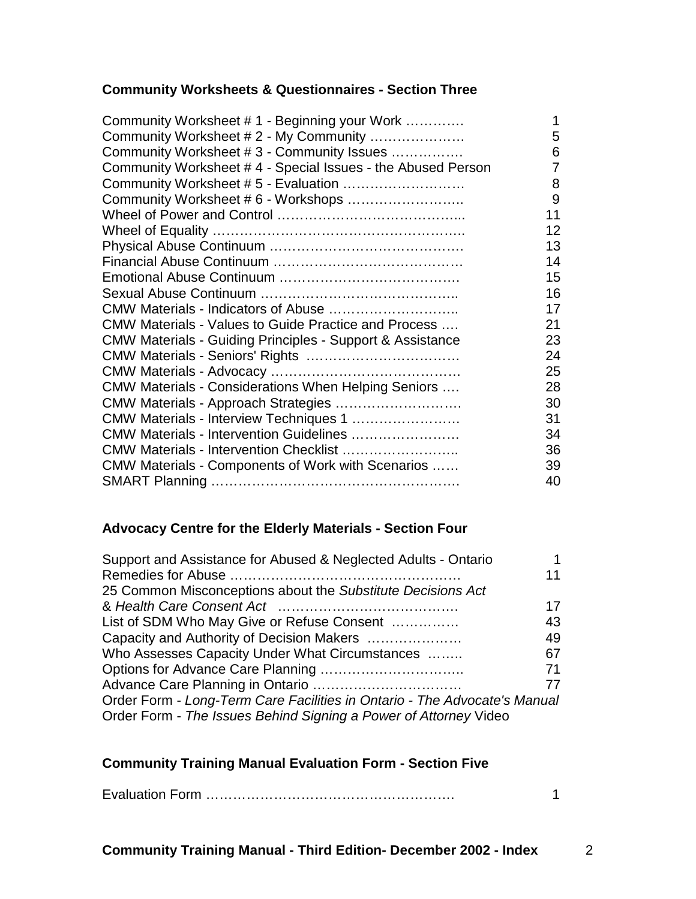## **Community Worksheets & Questionnaires - Section Three**

| Community Worksheet #1 - Beginning your Work                         |    |
|----------------------------------------------------------------------|----|
| Community Worksheet #2 - My Community                                | 5  |
| Community Worksheet #3 - Community Issues                            | 6  |
| Community Worksheet #4 - Special Issues - the Abused Person          |    |
| Community Worksheet # 5 - Evaluation                                 | 8  |
| Community Worksheet # 6 - Workshops                                  | 9  |
|                                                                      | 11 |
|                                                                      | 12 |
|                                                                      | 13 |
|                                                                      | 14 |
|                                                                      | 15 |
|                                                                      | 16 |
| CMW Materials - Indicators of Abuse                                  | 17 |
| CMW Materials - Values to Guide Practice and Process                 | 21 |
| <b>CMW Materials - Guiding Principles - Support &amp; Assistance</b> | 23 |
|                                                                      | 24 |
|                                                                      | 25 |
| CMW Materials - Considerations When Helping Seniors                  | 28 |
| CMW Materials - Approach Strategies                                  | 30 |
| CMW Materials - Interview Techniques 1                               | 31 |
| CMW Materials - Intervention Guidelines                              | 34 |
| CMW Materials - Intervention Checklist                               | 36 |
| CMW Materials - Components of Work with Scenarios                    | 39 |
|                                                                      | 40 |

#### **Advocacy Centre for the Elderly Materials - Section Four**

| Support and Assistance for Abused & Neglected Adults - Ontario            |    |
|---------------------------------------------------------------------------|----|
|                                                                           | 11 |
| 25 Common Misconceptions about the Substitute Decisions Act               |    |
|                                                                           | 17 |
| List of SDM Who May Give or Refuse Consent                                | 43 |
| Capacity and Authority of Decision Makers                                 | 49 |
| Who Assesses Capacity Under What Circumstances                            | 67 |
|                                                                           | 71 |
|                                                                           | 77 |
| Order Form - Long-Term Care Facilities in Ontario - The Advocate's Manual |    |
| Order Form - The Issues Behind Signing a Power of Attorney Video          |    |

#### **Community Training Manual Evaluation Form - Section Five**

Evaluation Form ………………………………………………. 1